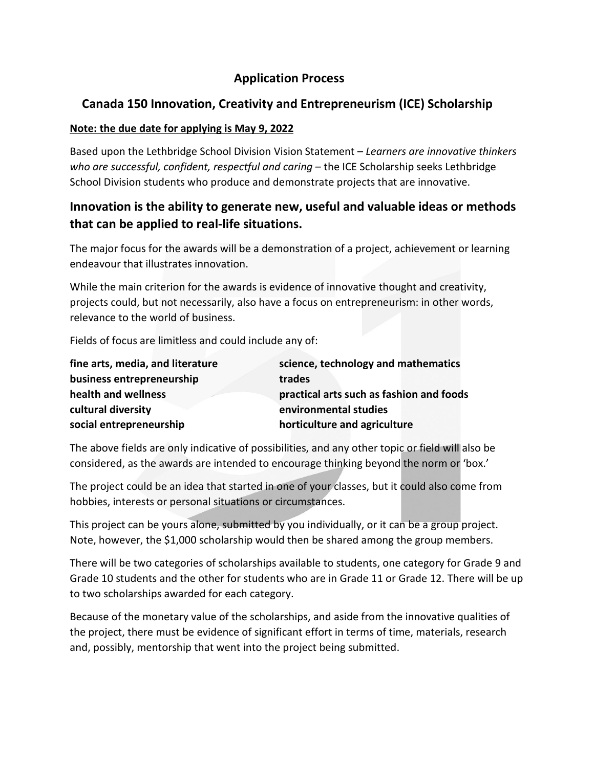# **Application Process**

# **Canada 150 Innovation, Creativity and Entrepreneurism (ICE) Scholarship**

### **Note: the due date for applying is May 9, 2022**

Based upon the Lethbridge School Division Vision Statement – *Learners are innovative thinkers who are successful, confident, respectful and caring* – the ICE Scholarship seeks Lethbridge School Division students who produce and demonstrate projects that are innovative.

# **Innovation is the ability to generate new, useful and valuable ideas or methods that can be applied to real-life situations.**

The major focus for the awards will be a demonstration of a project, achievement or learning endeavour that illustrates innovation.

While the main criterion for the awards is evidence of innovative thought and creativity, projects could, but not necessarily, also have a focus on entrepreneurism: in other words, relevance to the world of business.

Fields of focus are limitless and could include any of:

| fine arts, media, and literature | science, technology and mathematics      |
|----------------------------------|------------------------------------------|
| business entrepreneurship        | trades                                   |
| health and wellness              | practical arts such as fashion and foods |
| cultural diversity               | environmental studies                    |
| social entrepreneurship          | horticulture and agriculture             |

The above fields are only indicative of possibilities, and any other topic or field will also be considered, as the awards are intended to encourage thinking beyond the norm or 'box.'

The project could be an idea that started in one of your classes, but it could also come from hobbies, interests or personal situations or circumstances.

This project can be yours alone, submitted by you individually, or it can be a group project. Note, however, the \$1,000 scholarship would then be shared among the group members.

There will be two categories of scholarships available to students, one category for Grade 9 and Grade 10 students and the other for students who are in Grade 11 or Grade 12. There will be up to two scholarships awarded for each category.

Because of the monetary value of the scholarships, and aside from the innovative qualities of the project, there must be evidence of significant effort in terms of time, materials, research and, possibly, mentorship that went into the project being submitted.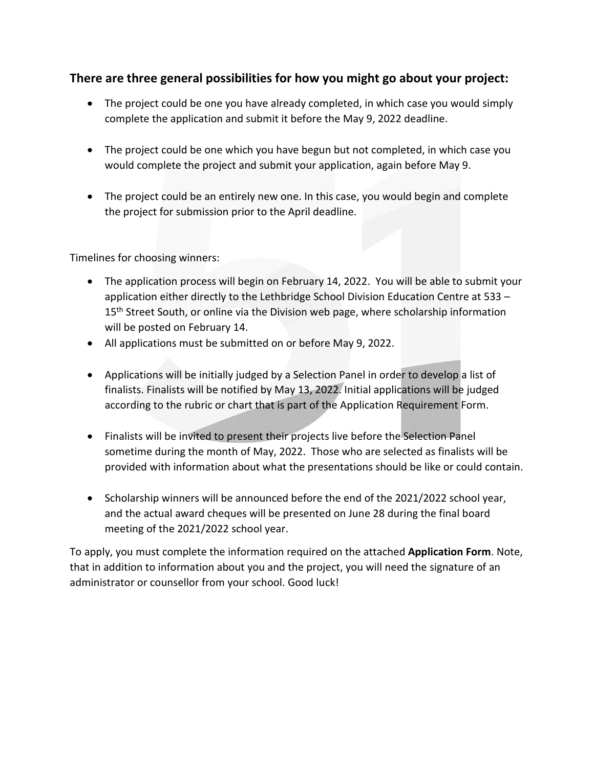### **There are three general possibilities for how you might go about your project:**

- The project could be one you have already completed, in which case you would simply complete the application and submit it before the May 9, 2022 deadline.
- The project could be one which you have begun but not completed, in which case you would complete the project and submit your application, again before May 9.
- The project could be an entirely new one. In this case, you would begin and complete the project for submission prior to the April deadline.

Timelines for choosing winners:

- The application process will begin on February 14, 2022. You will be able to submit your application either directly to the Lethbridge School Division Education Centre at 533 – 15<sup>th</sup> Street South, or online via the Division web page, where scholarship information will be posted on February 14.
- All applications must be submitted on or before May 9, 2022.
- Applications will be initially judged by a Selection Panel in order to develop a list of finalists. Finalists will be notified by May 13, 2022. Initial applications will be judged according to the rubric or chart that is part of the Application Requirement Form.
- Finalists will be invited to present their projects live before the Selection Panel sometime during the month of May, 2022. Those who are selected as finalists will be provided with information about what the presentations should be like or could contain.
- Scholarship winners will be announced before the end of the 2021/2022 school year, and the actual award cheques will be presented on June 28 during the final board meeting of the 2021/2022 school year.

To apply, you must complete the information required on the attached **Application Form**. Note, that in addition to information about you and the project, you will need the signature of an administrator or counsellor from your school. Good luck!